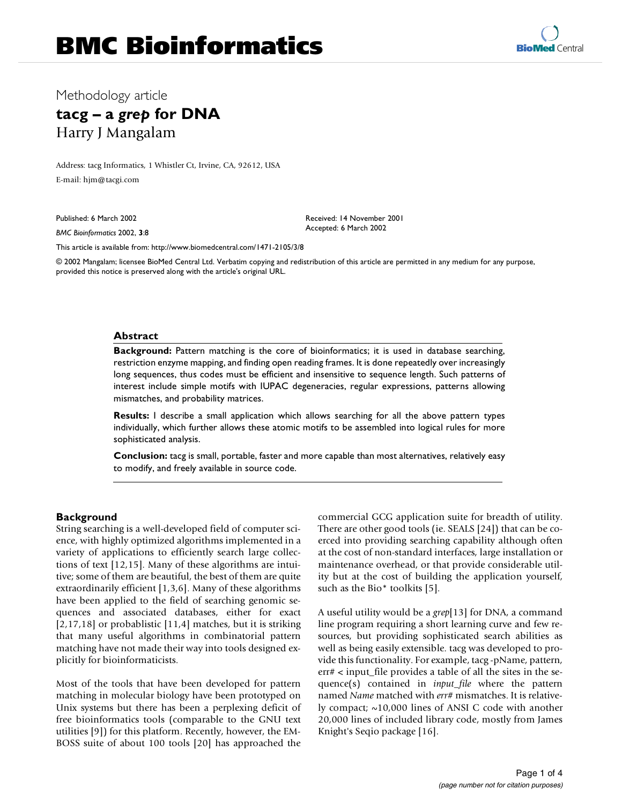# Methodology article

# **tacg – a** *grep* **for DNA** Harry J Mangalam

Address: tacg Informatics, 1 Whistler Ct, Irvine, CA, 92612, USA E-mail: hjm@tacgi.com

Published: 6 March 2002

*BMC Bioinformatics* 2002, **3**:8

[This article is available from: http://www.biomedcentral.com/1471-2105/3/8](http://www.biomedcentral.com/1471-2105/3/8)

© 2002 Mangalam; licensee BioMed Central Ltd. Verbatim copying and redistribution of this article are permitted in any medium for any purpose, provided this notice is preserved along with the article's original URL.

Received: 14 November 2001 Accepted: 6 March 2002

#### **Abstract**

**Background:** Pattern matching is the core of bioinformatics; it is used in database searching, restriction enzyme mapping, and finding open reading frames. It is done repeatedly over increasingly long sequences, thus codes must be efficient and insensitive to sequence length. Such patterns of interest include simple motifs with IUPAC degeneracies, regular expressions, patterns allowing mismatches, and probability matrices.

**Results:** I describe a small application which allows searching for all the above pattern types individually, which further allows these atomic motifs to be assembled into logical rules for more sophisticated analysis.

**Conclusion:** tacg is small, portable, faster and more capable than most alternatives, relatively easy to modify, and freely available in source code.

## **Background**

String searching is a well-developed field of computer science, with highly optimized algorithms implemented in a variety of applications to efficiently search large collections of text [[12](#page-3-0),[15\]](#page-3-1). Many of these algorithms are intuitive; some of them are beautiful, the best of them are quite extraordinarily efficient [\[1](#page-3-2)[,3](#page-3-3)[,6\]](#page-3-4). Many of these algorithms have been applied to the field of searching genomic sequences and associated databases, either for exact [[2](#page-3-5)[,17](#page-3-6)[,18\]](#page-3-7) or probablistic [[11](#page-3-8)[,4\]](#page-3-9) matches, but it is striking that many useful algorithms in combinatorial pattern matching have not made their way into tools designed explicitly for bioinformaticists.

Most of the tools that have been developed for pattern matching in molecular biology have been prototyped on Unix systems but there has been a perplexing deficit of free bioinformatics tools (comparable to the GNU text utilities [\[9](#page-3-10)]) for this platform. Recently, however, the EM-BOSS suite of about 100 tools [[20\]](#page-3-11) has approached the commercial GCG application suite for breadth of utility. There are other good tools (ie. SEALS [\[24\]](#page-3-12)) that can be coerced into providing searching capability although often at the cost of non-standard interfaces, large installation or maintenance overhead, or that provide considerable utility but at the cost of building the application yourself, such as the Bio\* toolkits [[5](#page-3-13)].

A useful utility would be a *grep*[[13\]](#page-3-14) for DNA, a command line program requiring a short learning curve and few resources, but providing sophisticated search abilities as well as being easily extensible. tacg was developed to provide this functionality. For example, tacg -pName, pattern, err# < input\_file provides a table of all the sites in the sequence(s) contained in *input\_file* where the pattern named *Name* matched with *err#* mismatches. It is relatively compact; ~10,000 lines of ANSI C code with another 20,000 lines of included library code, mostly from James Knight's Seqio package [\[16\]](#page-3-15).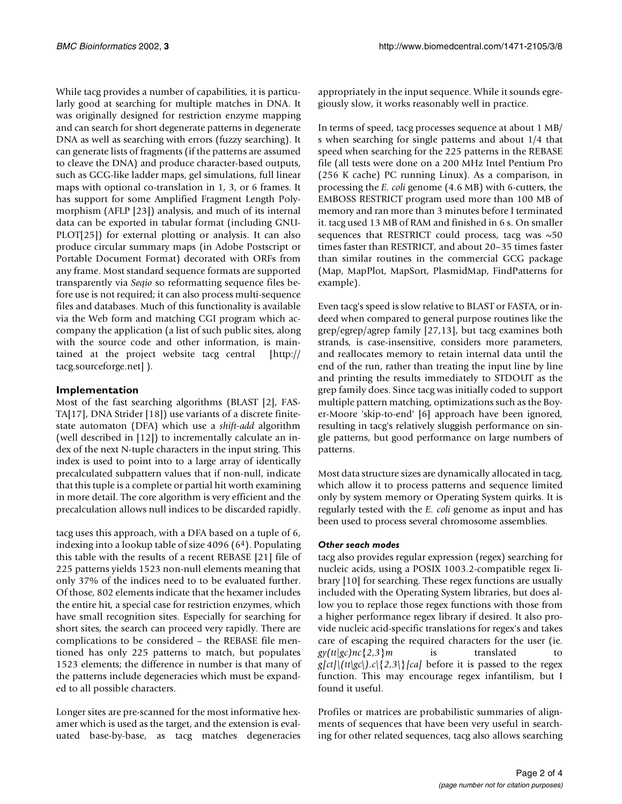While tacg provides a number of capabilities, it is particularly good at searching for multiple matches in DNA. It was originally designed for restriction enzyme mapping and can search for short degenerate patterns in degenerate DNA as well as searching with errors (fuzzy searching). It can generate lists of fragments (if the patterns are assumed to cleave the DNA) and produce character-based outputs, such as GCG-like ladder maps, gel simulations, full linear maps with optional co-translation in 1, 3, or 6 frames. It has support for some Amplified Fragment Length Polymorphism (AFLP [\[23](#page-3-16)]) analysis, and much of its internal data can be exported in tabular format (including GNU-PLOT[\[25](#page-3-17)]) for external plotting or analysis. It can also produce circular summary maps (in Adobe Postscript or Portable Document Format) decorated with ORFs from any frame. Most standard sequence formats are supported transparently via *Seqio* [so reformatting sequence files be](http://tacg.sourceforge.net)[fore use is not required; it can also process multi-sequence](http://tacg.sourceforge.net) files and databases. Much of this functionality is available via the Web form and matching CGI program which accompany the application (a list of such public sites, along with the source code and other information, is maintained at the project website tacg central [http:// tacg.sourceforge.net] ).

# **Implementation**

Most of the fast searching algorithms (BLAST [[2](#page-3-5)], FAS-TA[\[17\]](#page-3-6), DNA Strider [\[18](#page-3-7)]) use variants of a discrete finitestate automaton (DFA) which use a *shift-add* algorithm (well described in [[12\]](#page-3-0)) to incrementally calculate an index of the next N-tuple characters in the input string. This index is used to point into to a large array of identically precalculated subpattern values that if non-null, indicate that this tuple is a complete or partial hit worth examining in more detail. The core algorithm is very efficient and the precalculation allows null indices to be discarded rapidly.

tacg uses this approach, with a DFA based on a tuple of 6, indexing into a lookup table of size 4096 (64). Populating this table with the results of a recent REBASE [[21](#page-3-18)] file of 225 patterns yields 1523 non-null elements meaning that only 37% of the indices need to to be evaluated further. Of those, 802 elements indicate that the hexamer includes the entire hit, a special case for restriction enzymes, which have small recognition sites. Especially for searching for short sites, the search can proceed very rapidly. There are complications to be considered – the REBASE file mentioned has only 225 patterns to match, but populates 1523 elements; the difference in number is that many of the patterns include degeneracies which must be expanded to all possible characters.

Longer sites are pre-scanned for the most informative hexamer which is used as the target, and the extension is evaluated base-by-base, as tacg matches degeneracies

appropriately in the input sequence. While it sounds egregiously slow, it works reasonably well in practice.

In terms of speed, tacg processes sequence at about 1 MB/ s when searching for single patterns and about 1/4 that speed when searching for the 225 patterns in the REBASE file (all tests were done on a 200 MHz Intel Pentium Pro (256 K cache) PC running Linux). As a comparison, in processing the *E. coli* genome (4.6 MB) with 6-cutters, the EMBOSS RESTRICT program used more than 100 MB of memory and ran more than 3 minutes before I terminated it. tacg used 13 MB of RAM and finished in 6 s. On smaller sequences that RESTRICT could process, tacg was  $\sim 50$ times faster than RESTRICT, and about 20–35 times faster than similar routines in the commercial GCG package (Map, MapPlot, MapSort, PlasmidMap, FindPatterns for example).

Even tacg's speed is slow relative to BLAST or FASTA, or indeed when compared to general purpose routines like the grep/egrep/agrep family [[27,](#page-3-19)[13](#page-3-14)], but tacg examines both strands, is case-insensitive, considers more parameters, and reallocates memory to retain internal data until the end of the run, rather than treating the input line by line and printing the results immediately to STDOUT as the grep family does. Since tacg was initially coded to support multiple pattern matching, optimizations such as the Boyer-Moore 'skip-to-end' [\[6\]](#page-3-4) approach have been ignored, resulting in tacg's relatively sluggish performance on single patterns, but good performance on large numbers of patterns.

Most data structure sizes are dynamically allocated in tacg, which allow it to process patterns and sequence limited only by system memory or Operating System quirks. It is regularly tested with the *E. coli* genome as input and has been used to process several chromosome assemblies.

## *Other seach modes*

tacg also provides regular expression (regex) searching for nucleic acids, using a POSIX 1003.2-compatible regex library [[10\]](#page-3-20) for searching. These regex functions are usually included with the Operating System libraries, but does allow you to replace those regex functions with those from a higher performance regex library if desired. It also provide nucleic acid-specific translations for regex's and takes care of escaping the required characters for the user (ie.  $gy(tt|gc)nc{2,3}m$  is translated  $g[ct]\{(tt|gc|).c|\{2,3\}|[ca]$  before it is passed to the regex function. This may encourage regex infantilism, but I found it useful.

Profiles or matrices are probabilistic summaries of alignments of sequences that have been very useful in searching for other related sequences, tacg also allows searching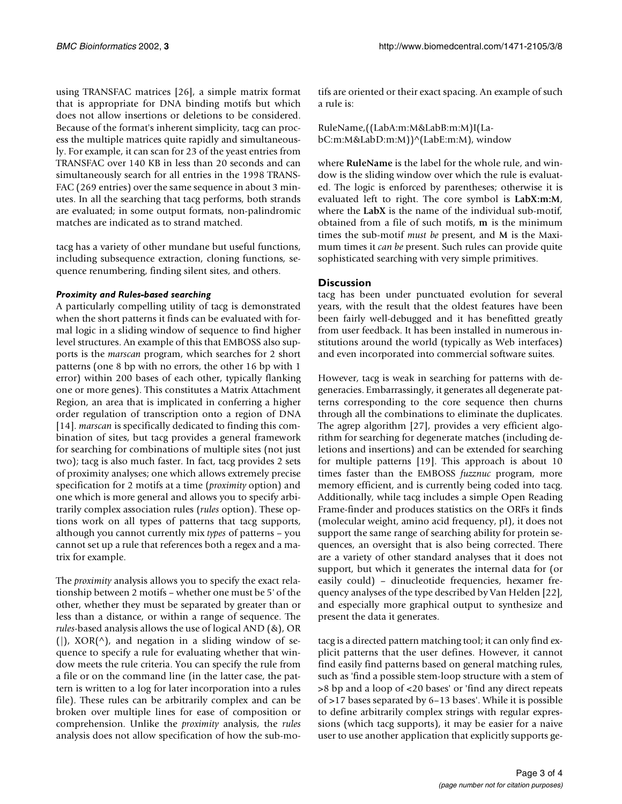using TRANSFAC matrices [\[26](#page-3-21)], a simple matrix format that is appropriate for DNA binding motifs but which does not allow insertions or deletions to be considered. Because of the format's inherent simplicity, tacg can process the multiple matrices quite rapidly and simultaneously. For example, it can scan for 23 of the yeast entries from TRANSFAC over 140 KB in less than 20 seconds and can simultaneously search for all entries in the 1998 TRANS-FAC (269 entries) over the same sequence in about 3 minutes. In all the searching that tacg performs, both strands are evaluated; in some output formats, non-palindromic matches are indicated as to strand matched.

tacg has a variety of other mundane but useful functions, including subsequence extraction, cloning functions, sequence renumbering, finding silent sites, and others.

#### *Proximity and Rules-based searching*

A particularly compelling utility of tacg is demonstrated when the short patterns it finds can be evaluated with formal logic in a sliding window of sequence to find higher level structures. An example of this that EMBOSS also supports is the *marscan* program, which searches for 2 short patterns (one 8 bp with no errors, the other 16 bp with 1 error) within 200 bases of each other, typically flanking one or more genes). This constitutes a Matrix Attachment Region, an area that is implicated in conferring a higher order regulation of transcription onto a region of DNA [[14](#page-3-22)]. *marscan* is specifically dedicated to finding this combination of sites, but tacg provides a general framework for searching for combinations of multiple sites (not just two); tacg is also much faster. In fact, tacg provides 2 sets of proximity analyses; one which allows extremely precise specification for 2 motifs at a time (*proximity* option) and one which is more general and allows you to specify arbitrarily complex association rules (*rules* option). These options work on all types of patterns that tacg supports, although you cannot currently mix *types* of patterns – you cannot set up a rule that references both a regex and a matrix for example.

The *proximity* analysis allows you to specify the exact relationship between 2 motifs – whether one must be 5' of the other, whether they must be separated by greater than or less than a distance, or within a range of sequence. The *rules*-based analysis allows the use of logical AND (&), OR (|),  $XOR(\uparrow)$ , and negation in a sliding window of sequence to specify a rule for evaluating whether that window meets the rule criteria. You can specify the rule from a file or on the command line (in the latter case, the pattern is written to a log for later incorporation into a rules file). These rules can be arbitrarily complex and can be broken over multiple lines for ease of composition or comprehension. Unlike the *proximity* analysis, the *rules* analysis does not allow specification of how the sub-motifs are oriented or their exact spacing. An example of such a rule is:

RuleName,((LabA:m:M&LabB:m:M)I(LabC:m:M&LabD:m:M))^(LabE:m:M), window

where **RuleName** is the label for the whole rule, and window is the sliding window over which the rule is evaluated. The logic is enforced by parentheses; otherwise it is evaluated left to right. The core symbol is **LabX:m:M**, where the **LabX** is the name of the individual sub-motif, obtained from a file of such motifs, **m** is the minimum times the sub-motif *must be* present, and **M** is the Maximum times it *can be* present. Such rules can provide quite sophisticated searching with very simple primitives.

# **Discussion**

tacg has been under punctuated evolution for several years, with the result that the oldest features have been been fairly well-debugged and it has benefitted greatly from user feedback. It has been installed in numerous institutions around the world (typically as Web interfaces) and even incorporated into commercial software suites.

However, tacg is weak in searching for patterns with degeneracies. Embarrassingly, it generates all degenerate patterns corresponding to the core sequence then churns through all the combinations to eliminate the duplicates. The agrep algorithm [\[27\]](#page-3-19), provides a very efficient algorithm for searching for degenerate matches (including deletions and insertions) and can be extended for searching for multiple patterns [\[19](#page-3-23)]. This approach is about 10 times faster than the EMBOSS *fuzznuc* program, more memory efficient, and is currently being coded into tacg. Additionally, while tacg includes a simple Open Reading Frame-finder and produces statistics on the ORFs it finds (molecular weight, amino acid frequency, pI), it does not support the same range of searching ability for protein sequences, an oversight that is also being corrected. There are a variety of other standard analyses that it does not support, but which it generates the internal data for (or easily could) – dinucleotide frequencies, hexamer frequency analyses of the type described by Van Helden [\[22](#page-3-24)], and especially more graphical output to synthesize and present the data it generates.

tacg is a directed pattern matching tool; it can only find explicit patterns that the user defines. However, it cannot find easily find patterns based on general matching rules, such as 'find a possible stem-loop structure with a stem of >8 bp and a loop of <20 bases' or 'find any direct repeats of >17 bases separated by 6–13 bases'. While it is possible to define arbitrarily complex strings with regular expressions (which tacg supports), it may be easier for a naive user to use another application that explicitly supports ge